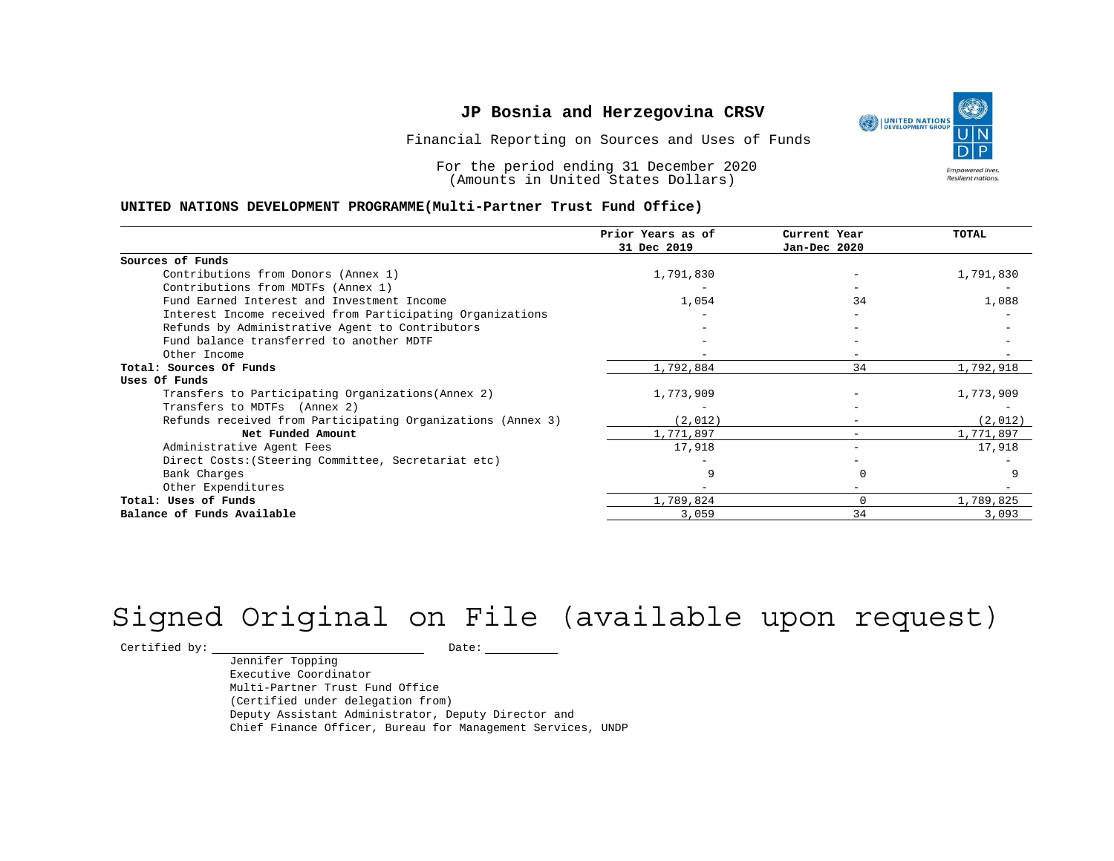

For the period ending 31 December 2020 (Amounts in United States Dollars)

#### **UNITED NATIONS DEVELOPMENT PROGRAMME(Multi-Partner Trust Fund Office)**

|                                                             | Prior Years as of<br>31 Dec 2019 | Current Year<br>Jan-Dec 2020 | TOTAL     |
|-------------------------------------------------------------|----------------------------------|------------------------------|-----------|
| Sources of Funds                                            |                                  |                              |           |
| Contributions from Donors (Annex 1)                         | 1,791,830                        |                              | 1,791,830 |
| Contributions from MDTFs (Annex 1)                          |                                  |                              |           |
|                                                             |                                  |                              |           |
| Fund Earned Interest and Investment Income                  | 1,054                            | 34                           | 1,088     |
| Interest Income received from Participating Organizations   |                                  |                              |           |
| Refunds by Administrative Agent to Contributors             |                                  |                              |           |
| Fund balance transferred to another MDTF                    |                                  |                              |           |
| Other Income                                                |                                  |                              |           |
| Total: Sources Of Funds                                     | 1,792,884                        | 34                           | 1,792,918 |
| Uses Of Funds                                               |                                  |                              |           |
| Transfers to Participating Organizations (Annex 2)          | 1,773,909                        |                              | 1,773,909 |
| Transfers to MDTFs (Annex 2)                                |                                  |                              |           |
| Refunds received from Participating Organizations (Annex 3) | (2,012)                          | $-$                          | (2,012)   |
| Net Funded Amount                                           | 1,771,897                        | $-$                          | 1,771,897 |
| Administrative Agent Fees                                   | 17,918                           | -                            | 17,918    |
| Direct Costs: (Steering Committee, Secretariat etc)         |                                  |                              |           |
| Bank Charges                                                |                                  |                              |           |
| Other Expenditures                                          |                                  |                              |           |
| Total: Uses of Funds                                        | 1,789,824                        | 0                            | 1,789,825 |
| Balance of Funds Available                                  | 3,059                            | 34                           | 3,093     |

# Signed Original on File (available upon request)

 $\begin{tabular}{c} \multicolumn{2}{c}{{\texttt{Certified by:}}}} \quad \quad \texttt{Date:} \end{tabular}$ 

Jennifer Topping Executive Coordinator Multi-Partner Trust Fund Office (Certified under delegation from) Deputy Assistant Administrator, Deputy Director and Chief Finance Officer, Bureau for Management Services, UNDP

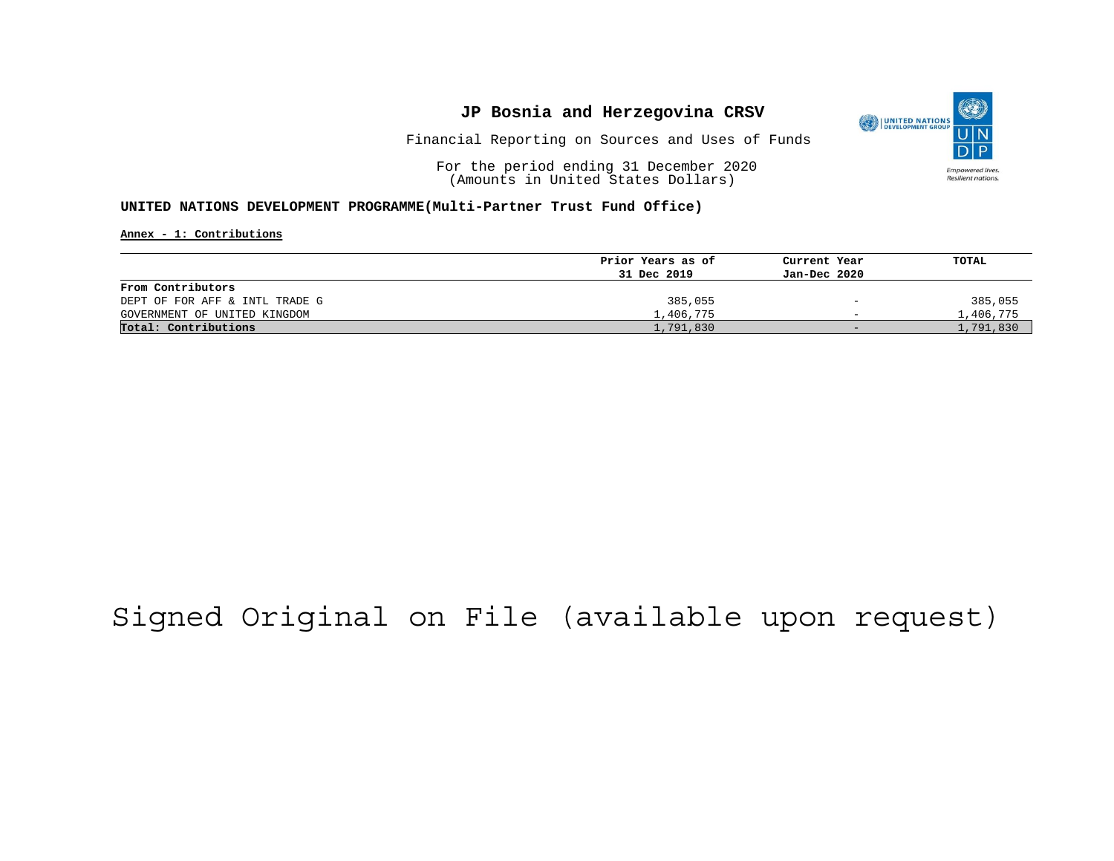

Financial Reporting on Sources and Uses of Funds

For the period ending 31 December 2020 (Amounts in United States Dollars)

#### **UNITED NATIONS DEVELOPMENT PROGRAMME(Multi-Partner Trust Fund Office)**

**Annex - 1: Contributions**

|                                | Prior Years as of | Current Year             | TOTAL     |
|--------------------------------|-------------------|--------------------------|-----------|
|                                | 31 Dec 2019       | Jan-Dec 2020             |           |
| From Contributors              |                   |                          |           |
| DEPT OF FOR AFF & INTL TRADE G | 385,055           | $\overline{\phantom{0}}$ | 385,055   |
| GOVERNMENT OF UNITED KINGDOM   | 1,406,775         | $\overline{\phantom{0}}$ | 1,406,775 |
| Total: Contributions           | 1,791,830         | $-$                      | 1,791,830 |

## Signed Original on File (available upon request)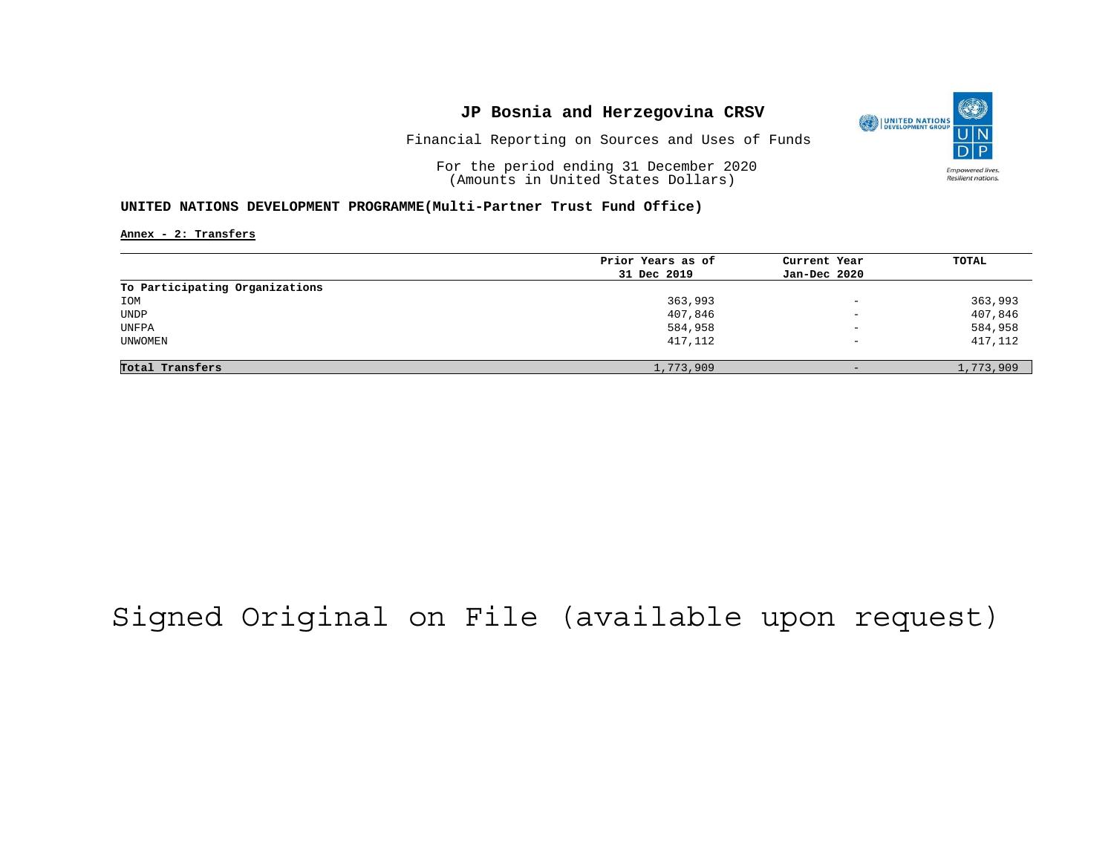

Financial Reporting on Sources and Uses of Funds

For the period ending 31 December 2020 (Amounts in United States Dollars)

#### **UNITED NATIONS DEVELOPMENT PROGRAMME(Multi-Partner Trust Fund Office)**

**Annex - 2: Transfers**

|                                | Prior Years as of | Current Year             | <b>TOTAL</b> |
|--------------------------------|-------------------|--------------------------|--------------|
|                                | 31 Dec 2019       | Jan-Dec 2020             |              |
| To Participating Organizations |                   |                          |              |
| IOM                            | 363,993           | $\overline{\phantom{a}}$ | 363,993      |
| UNDP                           | 407,846           | $\overline{\phantom{0}}$ | 407,846      |
| UNFPA                          | 584,958           | $\overline{\phantom{a}}$ | 584,958      |
| UNWOMEN                        | 417,112           | $\overline{\phantom{m}}$ | 417,112      |
|                                |                   |                          |              |
| Total Transfers                | 1,773,909         | $-$                      | 1,773,909    |

## Signed Original on File (available upon request)